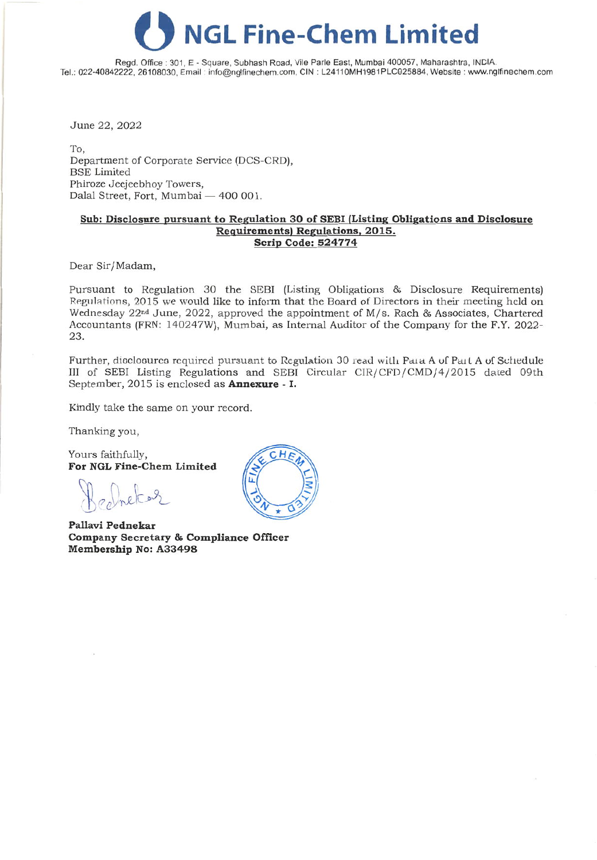## **o NGL Fine-Chem Limited**

Regd. Office: 301, E· Square, Subhash Road, Vile Parle East, Mumbai 400057, Maharashlra, INDIA. Tel.: 022-40842222, 26108030, Email: info@nglfinechem.com, CIN : L24110MH1981PLC025884, Website: www.nglfinechem.com

June 22, 2022

To, Department of Corporate Service (DCS-CRO), BSE Limited Phiroze Jeejeebhoy Towers, Dalal Street, Fort, Mumbai - 400 001.

### **Sub: Disclosure pursuant to Regulation 30 of SEBI (Listing Obligations and Disclosure Requirements) Regulations, 2015. Scrip Code: 524774**

Dear Sir/Madam,

Pursuant to Regulation 30 the SEBl (Listing Obligations & Disclosure Requirements) Regulations, 2015 we would like to inform that the Board of Directors in their meeting held on Wednesday 22nd June, 2022, approved the appointment of *Mj* s. Rach & Associates, Chartered Accountants (FRN: 140247Wj, Mumbai, as Internal Auditor of the Company for the F.Y. 2022- 23.

Further, dioclooureo required pursuant to Regulation 30 read with Para A of Part A of Schedule III of SEBI Listing Regulations and SEBI Circular *CIRjCFDjCMDj4/2015* dated 09th September, 2015 is enclosed as **Annexure -** I.

Kindly take the same on your record.

Thanking you,

Yours faithfully, **For NGLFine-Chem Limited**

**Pallavi Pednekar Company Secretary & Compliance Officer Membership No: A33498**

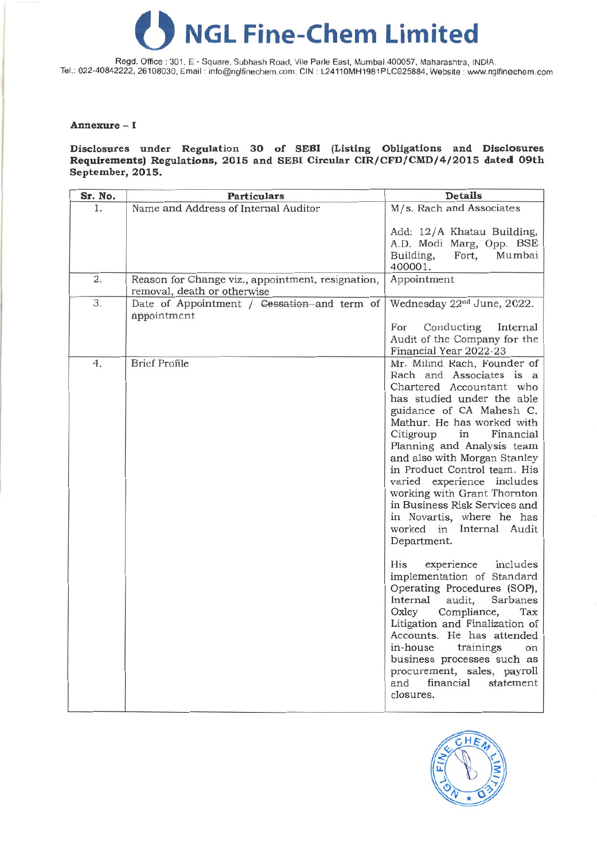# **o NGL Fine-Chem Limited**

Regd. Office: 301, E - Square, Subhash Road, Vile Parle East, Mumbai 400057, Maharashtra, INDIA. Tel.: 022-40842222, 26108030, Email: info@nglfinechem.com, CIN : L24110MH1981PLC025884, Website: www.nglfinechem.com

### **Annexure -** I

### **Disclosures under Regulation 30 of SEBI (Listing Obligations and Disclosures Requirements) Regulations, 2015 and SEBI Circular CIR/CFD/CMD/4/2015 dated 09th September, 2015.**

| Sr. No. | <b>Particulars</b>                                                               | <b>Details</b>                                                                                                                                                                                                                                                                                                                                                                                                                                                                                                                                                                                                                                                                                                                                                                                                                                          |
|---------|----------------------------------------------------------------------------------|---------------------------------------------------------------------------------------------------------------------------------------------------------------------------------------------------------------------------------------------------------------------------------------------------------------------------------------------------------------------------------------------------------------------------------------------------------------------------------------------------------------------------------------------------------------------------------------------------------------------------------------------------------------------------------------------------------------------------------------------------------------------------------------------------------------------------------------------------------|
| 1.      | Name and Address of Internal Auditor                                             | M/s. Rach and Associates                                                                                                                                                                                                                                                                                                                                                                                                                                                                                                                                                                                                                                                                                                                                                                                                                                |
|         |                                                                                  | Add: 12/A Khatau Building,<br>A.D. Modi Marg, Opp. BSE<br>Building,<br>Fort,<br>Mumbai<br>400001.                                                                                                                                                                                                                                                                                                                                                                                                                                                                                                                                                                                                                                                                                                                                                       |
| 2.      | Reason for Change viz., appointment, resignation,<br>removal, death or otherwise | Appointment                                                                                                                                                                                                                                                                                                                                                                                                                                                                                                                                                                                                                                                                                                                                                                                                                                             |
| 3.      | Date of Appointment / Cessation and term of<br>appointment                       | Wednesday 22nd June, 2022.                                                                                                                                                                                                                                                                                                                                                                                                                                                                                                                                                                                                                                                                                                                                                                                                                              |
|         |                                                                                  | Conducting<br>For<br>Internal<br>Audit of the Company for the<br>Financial Year 2022-23                                                                                                                                                                                                                                                                                                                                                                                                                                                                                                                                                                                                                                                                                                                                                                 |
| 4.      | <b>Brief Profile</b>                                                             | Mr. Milind Rach, Founder of<br>Rach and Associates is a<br>Chartered Accountant who<br>has studied under the able<br>guidance of CA Mahesh C.<br>Mathur. He has worked with<br>Financial<br>Citigroup<br>in<br>Planning and Analysis team<br>and also with Morgan Stanley<br>in Product Control team. His<br>varied experience includes<br>working with Grant Thornton<br>in Business Risk Services and<br>in Novartis, where he has<br>worked in Internal Audit<br>Department.<br>His<br>experience<br>includes<br>implementation of Standard<br>Operating Procedures (SOP),<br>Internal<br>audit,<br>Sarbanes<br>Oxley<br>Compliance,<br>Tax<br>Litigation and Finalization of<br>Accounts. He has attended<br>in-house<br>trainings<br>on<br>business processes such as<br>procurement, sales, payroll<br>financial<br>and<br>statement<br>closures. |